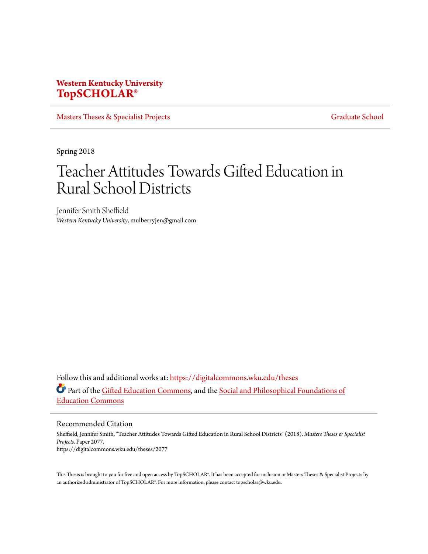## **Western Kentucky University [TopSCHOLAR®](https://digitalcommons.wku.edu?utm_source=digitalcommons.wku.edu%2Ftheses%2F2077&utm_medium=PDF&utm_campaign=PDFCoverPages)**

[Masters Theses & Specialist Projects](https://digitalcommons.wku.edu/theses?utm_source=digitalcommons.wku.edu%2Ftheses%2F2077&utm_medium=PDF&utm_campaign=PDFCoverPages) [Graduate School](https://digitalcommons.wku.edu/Graduate?utm_source=digitalcommons.wku.edu%2Ftheses%2F2077&utm_medium=PDF&utm_campaign=PDFCoverPages) Graduate School

Spring 2018

# Teacher Attitudes Towards Gifted Education in Rural School Districts

Jennifer Smith Sheffield *Western Kentucky University*, mulberryjen@gmail.com

Follow this and additional works at: [https://digitalcommons.wku.edu/theses](https://digitalcommons.wku.edu/theses?utm_source=digitalcommons.wku.edu%2Ftheses%2F2077&utm_medium=PDF&utm_campaign=PDFCoverPages) Part of the [Gifted Education Commons](http://network.bepress.com/hgg/discipline/1048?utm_source=digitalcommons.wku.edu%2Ftheses%2F2077&utm_medium=PDF&utm_campaign=PDFCoverPages), and the [Social and Philosophical Foundations of](http://network.bepress.com/hgg/discipline/799?utm_source=digitalcommons.wku.edu%2Ftheses%2F2077&utm_medium=PDF&utm_campaign=PDFCoverPages) [Education Commons](http://network.bepress.com/hgg/discipline/799?utm_source=digitalcommons.wku.edu%2Ftheses%2F2077&utm_medium=PDF&utm_campaign=PDFCoverPages)

Recommended Citation

Sheffield, Jennifer Smith, "Teacher Attitudes Towards Gifted Education in Rural School Districts" (2018). *Masters Theses & Specialist Projects.* Paper 2077. https://digitalcommons.wku.edu/theses/2077

This Thesis is brought to you for free and open access by TopSCHOLAR®. It has been accepted for inclusion in Masters Theses & Specialist Projects by an authorized administrator of TopSCHOLAR®. For more information, please contact topscholar@wku.edu.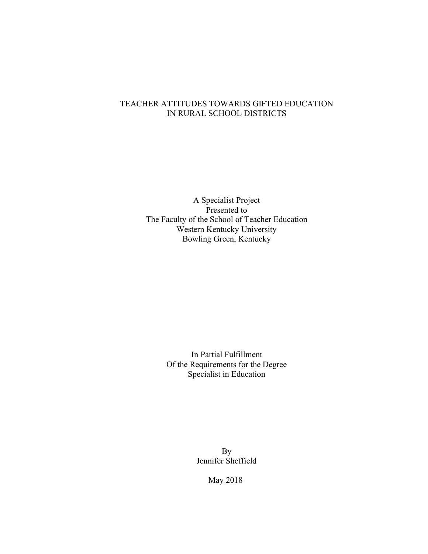### TEACHER ATTITUDES TOWARDS GIFTED EDUCATION IN RURAL SCHOOL DISTRICTS

A Specialist Project Presented to The Faculty of the School of Teacher Education Western Kentucky University Bowling Green, Kentucky

> In Partial Fulfillment Of the Requirements for the Degree Specialist in Education

> > By Jennifer Sheffield

> > > May 2018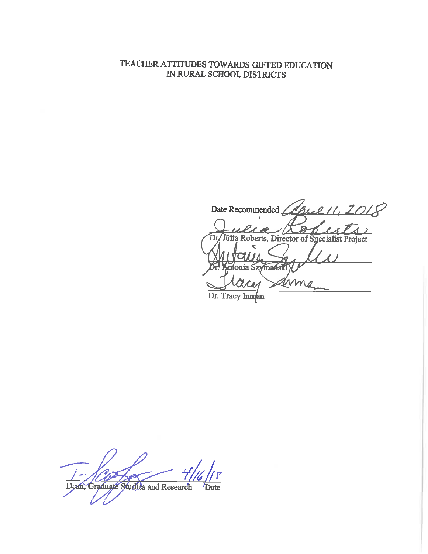## TEACHER ATTITUDES TOWARDS GIFTED EDUCATION IN RURAL SCHOOL DISTRICTS

Date Recommended *(April 11, 2018*  $\boldsymbol{\mathcal{P}}$ Fulle Roberts, Director of Specialist Project esa Dr ttonia Szymanski Arme Dr. Tracy Innan

Dean, Graduate Studies and Research **Date**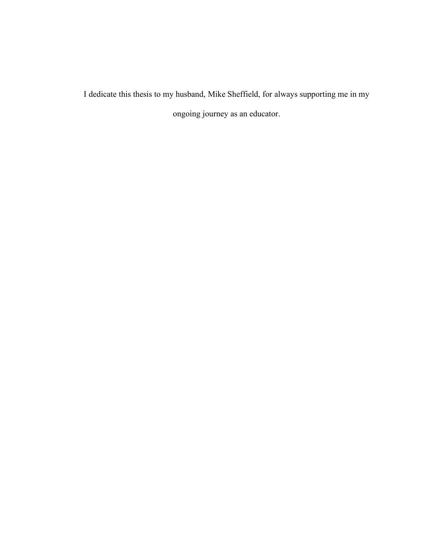I dedicate this thesis to my husband, Mike Sheffield, for always supporting me in my ongoing journey as an educator.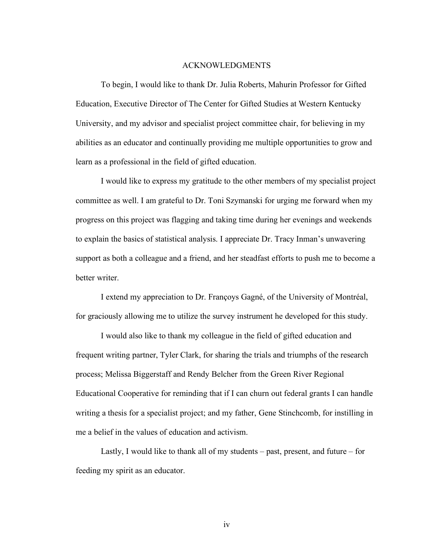#### ACKNOWLEDGMENTS

To begin, I would like to thank Dr. Julia Roberts, Mahurin Professor for Gifted Education, Executive Director of The Center for Gifted Studies at Western Kentucky University, and my advisor and specialist project committee chair, for believing in my abilities as an educator and continually providing me multiple opportunities to grow and learn as a professional in the field of gifted education.

I would like to express my gratitude to the other members of my specialist project committee as well. I am grateful to Dr. Toni Szymanski for urging me forward when my progress on this project was flagging and taking time during her evenings and weekends to explain the basics of statistical analysis. I appreciate Dr. Tracy Inman's unwavering support as both a colleague and a friend, and her steadfast efforts to push me to become a better writer.

I extend my appreciation to Dr. Françoys Gagné, of the University of Montréal, for graciously allowing me to utilize the survey instrument he developed for this study.

I would also like to thank my colleague in the field of gifted education and frequent writing partner, Tyler Clark, for sharing the trials and triumphs of the research process; Melissa Biggerstaff and Rendy Belcher from the Green River Regional Educational Cooperative for reminding that if I can churn out federal grants I can handle writing a thesis for a specialist project; and my father, Gene Stinchcomb, for instilling in me a belief in the values of education and activism.

Lastly, I would like to thank all of my students – past, present, and future – for feeding my spirit as an educator.

iv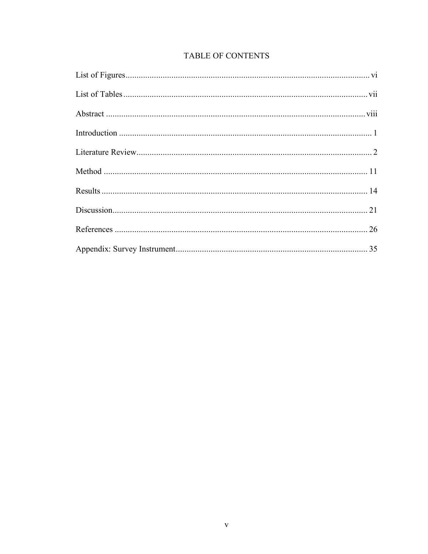|  | <b>TABLE OF CONTENTS</b> |
|--|--------------------------|
|  |                          |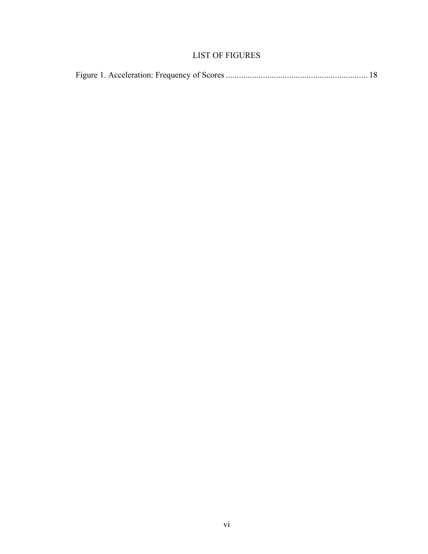## LIST OF FIGURES

|--|--|--|--|--|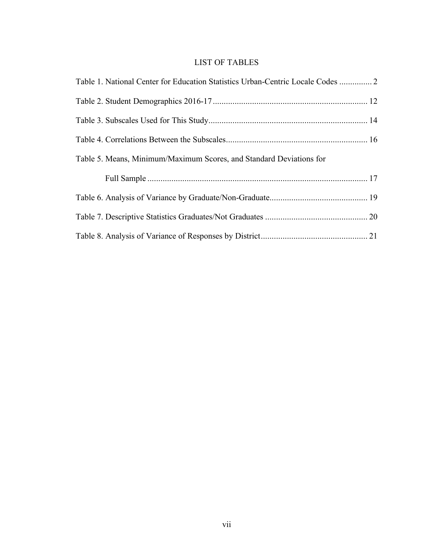## LIST OF TABLES

| Table 1. National Center for Education Statistics Urban-Centric Locale Codes  2 |  |
|---------------------------------------------------------------------------------|--|
|                                                                                 |  |
|                                                                                 |  |
|                                                                                 |  |
| Table 5. Means, Minimum/Maximum Scores, and Standard Deviations for             |  |
|                                                                                 |  |
|                                                                                 |  |
|                                                                                 |  |
|                                                                                 |  |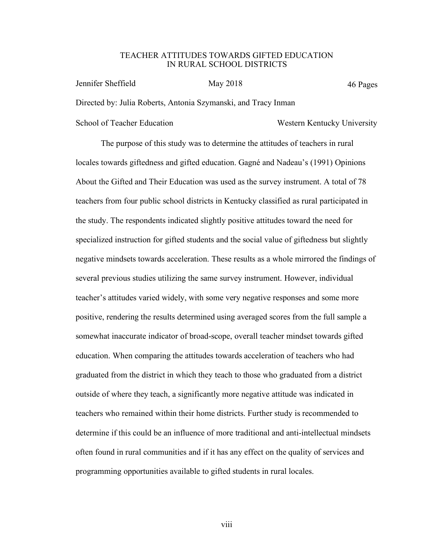#### TEACHER ATTITUDES TOWARDS GIFTED EDUCATION IN RURAL SCHOOL DISTRICTS

46 Pages Jennifer Sheffield May 2018 Directed by: Julia Roberts, Antonia Szymanski, and Tracy Inman School of Teacher Education Western Kentucky University

The purpose of this study was to determine the attitudes of teachers in rural locales towards giftedness and gifted education. Gagné and Nadeau's (1991) Opinions About the Gifted and Their Education was used as the survey instrument. A total of 78 teachers from four public school districts in Kentucky classified as rural participated in the study. The respondents indicated slightly positive attitudes toward the need for specialized instruction for gifted students and the social value of giftedness but slightly negative mindsets towards acceleration. These results as a whole mirrored the findings of several previous studies utilizing the same survey instrument. However, individual teacher's attitudes varied widely, with some very negative responses and some more positive, rendering the results determined using averaged scores from the full sample a somewhat inaccurate indicator of broad-scope, overall teacher mindset towards gifted education. When comparing the attitudes towards acceleration of teachers who had graduated from the district in which they teach to those who graduated from a district outside of where they teach, a significantly more negative attitude was indicated in teachers who remained within their home districts. Further study is recommended to determine if this could be an influence of more traditional and anti-intellectual mindsets often found in rural communities and if it has any effect on the quality of services and programming opportunities available to gifted students in rural locales.

viii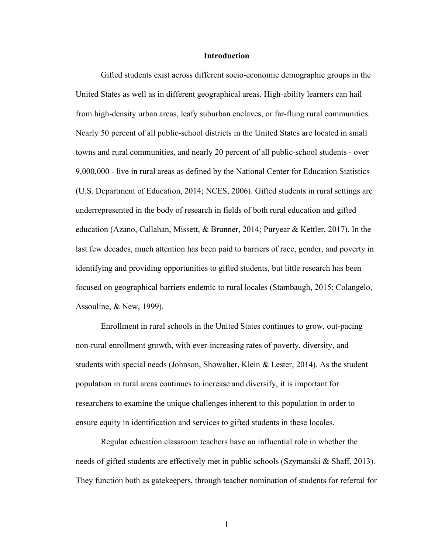#### **Introduction**

Gifted students exist across different socio-economic demographic groups in the United States as well as in different geographical areas. High-ability learners can hail from high-density urban areas, leafy suburban enclaves, or far-flung rural communities. Nearly 50 percent of all public-school districts in the United States are located in small towns and rural communities, and nearly 20 percent of all public-school students - over 9,000,000 - live in rural areas as defined by the National Center for Education Statistics (U.S. Department of Education, 2014; NCES, 2006). Gifted students in rural settings are underrepresented in the body of research in fields of both rural education and gifted education (Azano, Callahan, Missett, & Brunner, 2014; Puryear & Kettler, 2017). In the last few decades, much attention has been paid to barriers of race, gender, and poverty in identifying and providing opportunities to gifted students, but little research has been focused on geographical barriers endemic to rural locales (Stambaugh, 2015; Colangelo, Assouline, & New, 1999).

Enrollment in rural schools in the United States continues to grow, out-pacing non-rural enrollment growth, with ever-increasing rates of poverty, diversity, and students with special needs (Johnson, Showalter, Klein & Lester, 2014). As the student population in rural areas continues to increase and diversify, it is important for researchers to examine the unique challenges inherent to this population in order to ensure equity in identification and services to gifted students in these locales.

Regular education classroom teachers have an influential role in whether the needs of gifted students are effectively met in public schools (Szymanski & Shaff, 2013). They function both as gatekeepers, through teacher nomination of students for referral for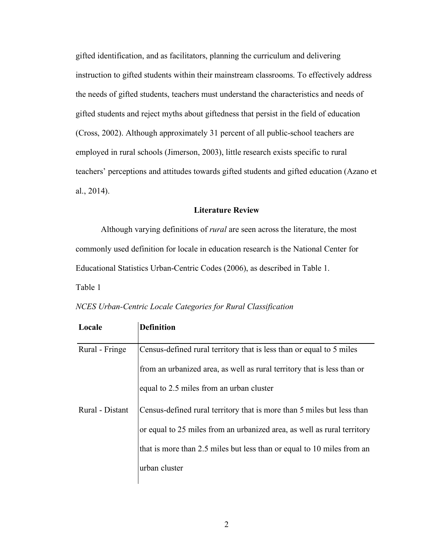gifted identification, and as facilitators, planning the curriculum and delivering instruction to gifted students within their mainstream classrooms. To effectively address the needs of gifted students, teachers must understand the characteristics and needs of gifted students and reject myths about giftedness that persist in the field of education (Cross, 2002). Although approximately 31 percent of all public-school teachers are employed in rural schools (Jimerson, 2003), little research exists specific to rural teachers' perceptions and attitudes towards gifted students and gifted education (Azano et al., 2014).

#### **Literature Review**

Although varying definitions of *rural* are seen across the literature, the most commonly used definition for locale in education research is the National Center for Educational Statistics Urban-Centric Codes (2006), as described in Table 1. Table 1

| Locale          | <b>Definition</b>                                                       |
|-----------------|-------------------------------------------------------------------------|
| Rural - Fringe  | Census-defined rural territory that is less than or equal to 5 miles    |
|                 | from an urbanized area, as well as rural territory that is less than or |
|                 | equal to 2.5 miles from an urban cluster                                |
| Rural - Distant | Census-defined rural territory that is more than 5 miles but less than  |
|                 | or equal to 25 miles from an urbanized area, as well as rural territory |
|                 | that is more than 2.5 miles but less than or equal to 10 miles from an  |
|                 | urban cluster                                                           |

*NCES Urban-Centric Locale Categories for Rural Classification*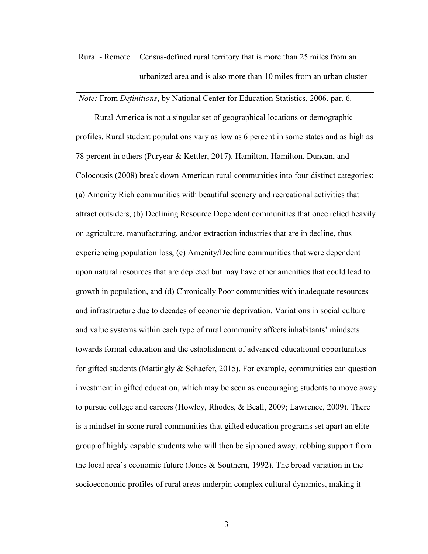## Rural - Remote Census-defined rural territory that is more than 25 miles from an urbanized area and is also more than 10 miles from an urban cluster

*Note:* From *Definitions*, by National Center for Education Statistics, 2006, par. 6.

Rural America is not a singular set of geographical locations or demographic profiles. Rural student populations vary as low as 6 percent in some states and as high as 78 percent in others (Puryear & Kettler, 2017). Hamilton, Hamilton, Duncan, and Colocousis (2008) break down American rural communities into four distinct categories: (a) Amenity Rich communities with beautiful scenery and recreational activities that attract outsiders, (b) Declining Resource Dependent communities that once relied heavily on agriculture, manufacturing, and/or extraction industries that are in decline, thus experiencing population loss, (c) Amenity/Decline communities that were dependent upon natural resources that are depleted but may have other amenities that could lead to growth in population, and (d) Chronically Poor communities with inadequate resources and infrastructure due to decades of economic deprivation. Variations in social culture and value systems within each type of rural community affects inhabitants' mindsets towards formal education and the establishment of advanced educational opportunities for gifted students (Mattingly  $&$  Schaefer, 2015). For example, communities can question investment in gifted education, which may be seen as encouraging students to move away to pursue college and careers (Howley, Rhodes, & Beall, 2009; Lawrence, 2009). There is a mindset in some rural communities that gifted education programs set apart an elite group of highly capable students who will then be siphoned away, robbing support from the local area's economic future (Jones & Southern, 1992). The broad variation in the socioeconomic profiles of rural areas underpin complex cultural dynamics, making it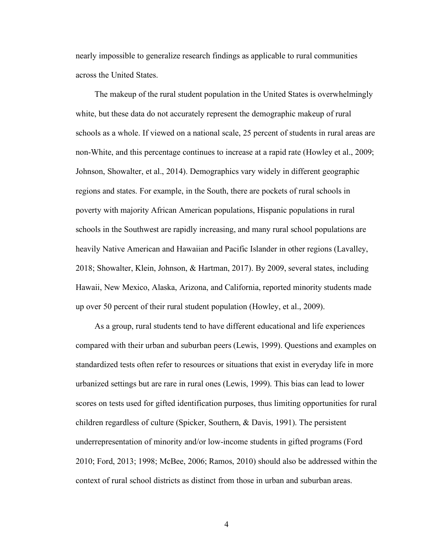nearly impossible to generalize research findings as applicable to rural communities across the United States.

The makeup of the rural student population in the United States is overwhelmingly white, but these data do not accurately represent the demographic makeup of rural schools as a whole. If viewed on a national scale, 25 percent of students in rural areas are non-White, and this percentage continues to increase at a rapid rate (Howley et al., 2009; Johnson, Showalter, et al., 2014). Demographics vary widely in different geographic regions and states. For example, in the South, there are pockets of rural schools in poverty with majority African American populations, Hispanic populations in rural schools in the Southwest are rapidly increasing, and many rural school populations are heavily Native American and Hawaiian and Pacific Islander in other regions (Lavalley, 2018; Showalter, Klein, Johnson, & Hartman, 2017). By 2009, several states, including Hawaii, New Mexico, Alaska, Arizona, and California, reported minority students made up over 50 percent of their rural student population (Howley, et al., 2009).

As a group, rural students tend to have different educational and life experiences compared with their urban and suburban peers (Lewis, 1999). Questions and examples on standardized tests often refer to resources or situations that exist in everyday life in more urbanized settings but are rare in rural ones (Lewis, 1999). This bias can lead to lower scores on tests used for gifted identification purposes, thus limiting opportunities for rural children regardless of culture (Spicker, Southern, & Davis, 1991). The persistent underrepresentation of minority and/or low-income students in gifted programs (Ford 2010; Ford, 2013; 1998; McBee, 2006; Ramos, 2010) should also be addressed within the context of rural school districts as distinct from those in urban and suburban areas.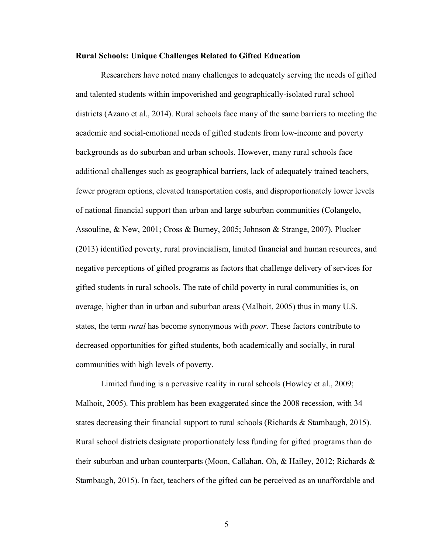#### **Rural Schools: Unique Challenges Related to Gifted Education**

Researchers have noted many challenges to adequately serving the needs of gifted and talented students within impoverished and geographically-isolated rural school districts (Azano et al., 2014). Rural schools face many of the same barriers to meeting the academic and social-emotional needs of gifted students from low-income and poverty backgrounds as do suburban and urban schools. However, many rural schools face additional challenges such as geographical barriers, lack of adequately trained teachers, fewer program options, elevated transportation costs, and disproportionately lower levels of national financial support than urban and large suburban communities (Colangelo, Assouline, & New, 2001; Cross & Burney, 2005; Johnson & Strange, 2007). Plucker (2013) identified poverty, rural provincialism, limited financial and human resources, and negative perceptions of gifted programs as factors that challenge delivery of services for gifted students in rural schools. The rate of child poverty in rural communities is, on average, higher than in urban and suburban areas (Malhoit, 2005) thus in many U.S. states, the term *rural* has become synonymous with *poor*. These factors contribute to decreased opportunities for gifted students, both academically and socially, in rural communities with high levels of poverty.

Limited funding is a pervasive reality in rural schools (Howley et al., 2009; Malhoit, 2005). This problem has been exaggerated since the 2008 recession, with 34 states decreasing their financial support to rural schools (Richards & Stambaugh, 2015). Rural school districts designate proportionately less funding for gifted programs than do their suburban and urban counterparts (Moon, Callahan, Oh, & Hailey, 2012; Richards & Stambaugh, 2015). In fact, teachers of the gifted can be perceived as an unaffordable and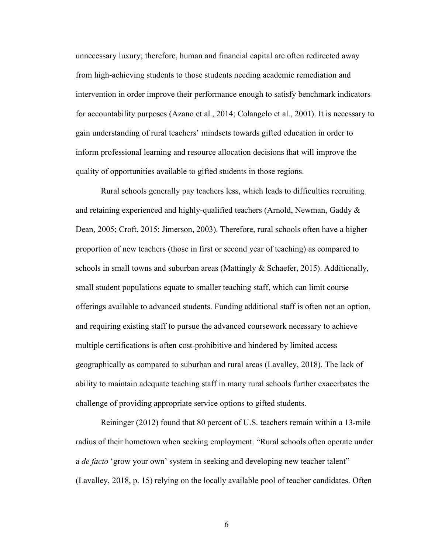unnecessary luxury; therefore, human and financial capital are often redirected away from high-achieving students to those students needing academic remediation and intervention in order improve their performance enough to satisfy benchmark indicators for accountability purposes (Azano et al., 2014; Colangelo et al., 2001). It is necessary to gain understanding of rural teachers' mindsets towards gifted education in order to inform professional learning and resource allocation decisions that will improve the quality of opportunities available to gifted students in those regions.

Rural schools generally pay teachers less, which leads to difficulties recruiting and retaining experienced and highly-qualified teachers (Arnold, Newman, Gaddy  $\&$ Dean, 2005; Croft, 2015; Jimerson, 2003). Therefore, rural schools often have a higher proportion of new teachers (those in first or second year of teaching) as compared to schools in small towns and suburban areas (Mattingly  $\&$  Schaefer, 2015). Additionally, small student populations equate to smaller teaching staff, which can limit course offerings available to advanced students. Funding additional staff is often not an option, and requiring existing staff to pursue the advanced coursework necessary to achieve multiple certifications is often cost-prohibitive and hindered by limited access geographically as compared to suburban and rural areas (Lavalley, 2018). The lack of ability to maintain adequate teaching staff in many rural schools further exacerbates the challenge of providing appropriate service options to gifted students.

Reininger (2012) found that 80 percent of U.S. teachers remain within a 13-mile radius of their hometown when seeking employment. "Rural schools often operate under a *de facto* 'grow your own' system in seeking and developing new teacher talent" (Lavalley, 2018, p. 15) relying on the locally available pool of teacher candidates. Often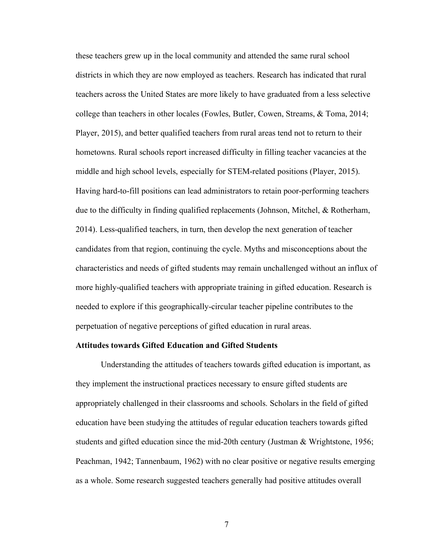these teachers grew up in the local community and attended the same rural school districts in which they are now employed as teachers. Research has indicated that rural teachers across the United States are more likely to have graduated from a less selective college than teachers in other locales (Fowles, Butler, Cowen, Streams, & Toma, 2014; Player, 2015), and better qualified teachers from rural areas tend not to return to their hometowns. Rural schools report increased difficulty in filling teacher vacancies at the middle and high school levels, especially for STEM-related positions (Player, 2015). Having hard-to-fill positions can lead administrators to retain poor-performing teachers due to the difficulty in finding qualified replacements (Johnson, Mitchel, & Rotherham, 2014). Less-qualified teachers, in turn, then develop the next generation of teacher candidates from that region, continuing the cycle. Myths and misconceptions about the characteristics and needs of gifted students may remain unchallenged without an influx of more highly-qualified teachers with appropriate training in gifted education. Research is needed to explore if this geographically-circular teacher pipeline contributes to the perpetuation of negative perceptions of gifted education in rural areas.

#### **Attitudes towards Gifted Education and Gifted Students**

Understanding the attitudes of teachers towards gifted education is important, as they implement the instructional practices necessary to ensure gifted students are appropriately challenged in their classrooms and schools. Scholars in the field of gifted education have been studying the attitudes of regular education teachers towards gifted students and gifted education since the mid-20th century (Justman & Wrightstone, 1956; Peachman, 1942; Tannenbaum, 1962) with no clear positive or negative results emerging as a whole. Some research suggested teachers generally had positive attitudes overall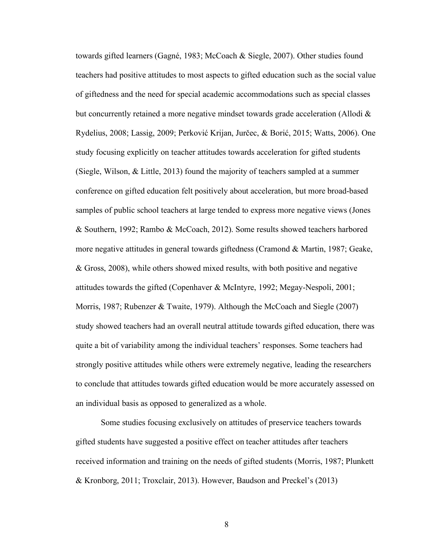towards gifted learners (Gagné, 1983; McCoach & Siegle, 2007). Other studies found teachers had positive attitudes to most aspects to gifted education such as the social value of giftedness and the need for special academic accommodations such as special classes but concurrently retained a more negative mindset towards grade acceleration (Allodi  $\&$ Rydelius, 2008; Lassig, 2009; Perković Krijan, Jurčec, & Borić, 2015; Watts, 2006). One study focusing explicitly on teacher attitudes towards acceleration for gifted students (Siegle, Wilson, & Little, 2013) found the majority of teachers sampled at a summer conference on gifted education felt positively about acceleration, but more broad-based samples of public school teachers at large tended to express more negative views (Jones & Southern, 1992; Rambo & McCoach, 2012). Some results showed teachers harbored more negative attitudes in general towards giftedness (Cramond & Martin, 1987; Geake, & Gross, 2008), while others showed mixed results, with both positive and negative attitudes towards the gifted (Copenhaver & McIntyre, 1992; Megay-Nespoli, 2001; Morris, 1987; Rubenzer & Twaite, 1979). Although the McCoach and Siegle (2007) study showed teachers had an overall neutral attitude towards gifted education, there was quite a bit of variability among the individual teachers' responses. Some teachers had strongly positive attitudes while others were extremely negative, leading the researchers to conclude that attitudes towards gifted education would be more accurately assessed on an individual basis as opposed to generalized as a whole.

Some studies focusing exclusively on attitudes of preservice teachers towards gifted students have suggested a positive effect on teacher attitudes after teachers received information and training on the needs of gifted students (Morris, 1987; Plunkett & Kronborg, 2011; Troxclair, 2013). However, Baudson and Preckel's (2013)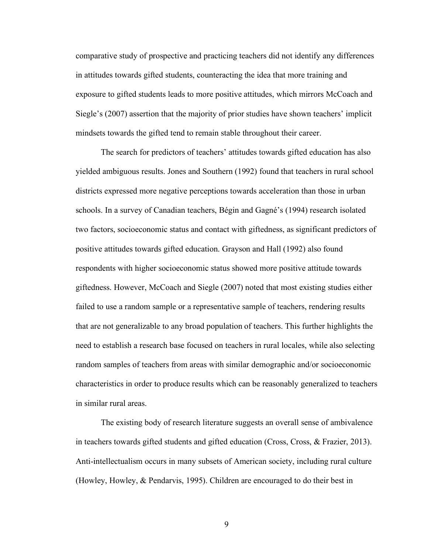comparative study of prospective and practicing teachers did not identify any differences in attitudes towards gifted students, counteracting the idea that more training and exposure to gifted students leads to more positive attitudes, which mirrors McCoach and Siegle's (2007) assertion that the majority of prior studies have shown teachers' implicit mindsets towards the gifted tend to remain stable throughout their career.

The search for predictors of teachers' attitudes towards gifted education has also yielded ambiguous results. Jones and Southern (1992) found that teachers in rural school districts expressed more negative perceptions towards acceleration than those in urban schools. In a survey of Canadian teachers, Bégin and Gagné's (1994) research isolated two factors, socioeconomic status and contact with giftedness, as significant predictors of positive attitudes towards gifted education. Grayson and Hall (1992) also found respondents with higher socioeconomic status showed more positive attitude towards giftedness. However, McCoach and Siegle (2007) noted that most existing studies either failed to use a random sample or a representative sample of teachers, rendering results that are not generalizable to any broad population of teachers. This further highlights the need to establish a research base focused on teachers in rural locales, while also selecting random samples of teachers from areas with similar demographic and/or socioeconomic characteristics in order to produce results which can be reasonably generalized to teachers in similar rural areas.

The existing body of research literature suggests an overall sense of ambivalence in teachers towards gifted students and gifted education (Cross, Cross, & Frazier, 2013). Anti-intellectualism occurs in many subsets of American society, including rural culture (Howley, Howley, & Pendarvis, 1995). Children are encouraged to do their best in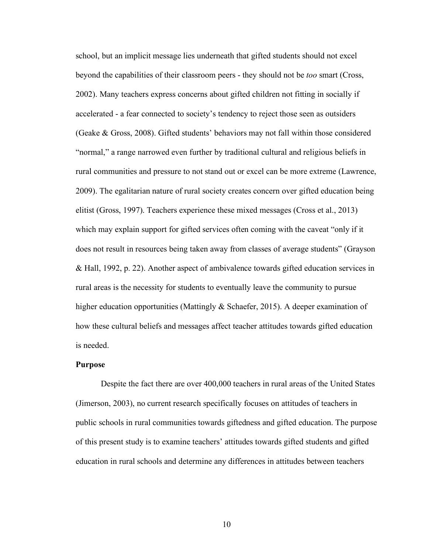school, but an implicit message lies underneath that gifted students should not excel beyond the capabilities of their classroom peers - they should not be *too* smart (Cross, 2002). Many teachers express concerns about gifted children not fitting in socially if accelerated - a fear connected to society's tendency to reject those seen as outsiders (Geake & Gross, 2008). Gifted students' behaviors may not fall within those considered "normal," a range narrowed even further by traditional cultural and religious beliefs in rural communities and pressure to not stand out or excel can be more extreme (Lawrence, 2009). The egalitarian nature of rural society creates concern over gifted education being elitist (Gross, 1997). Teachers experience these mixed messages (Cross et al., 2013) which may explain support for gifted services often coming with the caveat "only if it does not result in resources being taken away from classes of average students" (Grayson & Hall, 1992, p. 22). Another aspect of ambivalence towards gifted education services in rural areas is the necessity for students to eventually leave the community to pursue higher education opportunities (Mattingly & Schaefer, 2015). A deeper examination of how these cultural beliefs and messages affect teacher attitudes towards gifted education is needed.

#### **Purpose**

Despite the fact there are over 400,000 teachers in rural areas of the United States (Jimerson, 2003), no current research specifically focuses on attitudes of teachers in public schools in rural communities towards giftedness and gifted education. The purpose of this present study is to examine teachers' attitudes towards gifted students and gifted education in rural schools and determine any differences in attitudes between teachers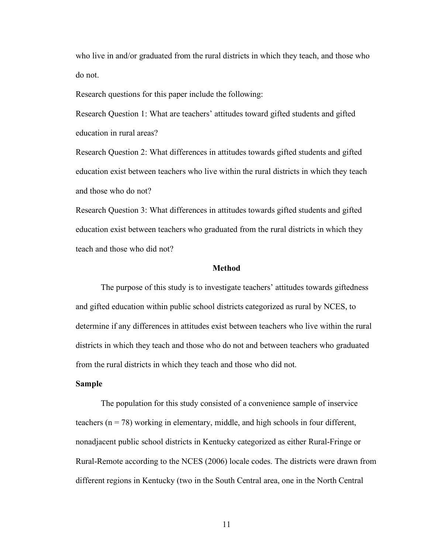who live in and/or graduated from the rural districts in which they teach, and those who do not.

Research questions for this paper include the following:

Research Question 1: What are teachers' attitudes toward gifted students and gifted education in rural areas?

Research Question 2: What differences in attitudes towards gifted students and gifted education exist between teachers who live within the rural districts in which they teach and those who do not?

Research Question 3: What differences in attitudes towards gifted students and gifted education exist between teachers who graduated from the rural districts in which they teach and those who did not?

#### **Method**

The purpose of this study is to investigate teachers' attitudes towards giftedness and gifted education within public school districts categorized as rural by NCES, to determine if any differences in attitudes exist between teachers who live within the rural districts in which they teach and those who do not and between teachers who graduated from the rural districts in which they teach and those who did not.

#### **Sample**

The population for this study consisted of a convenience sample of inservice teachers  $(n = 78)$  working in elementary, middle, and high schools in four different, nonadjacent public school districts in Kentucky categorized as either Rural-Fringe or Rural-Remote according to the NCES (2006) locale codes. The districts were drawn from different regions in Kentucky (two in the South Central area, one in the North Central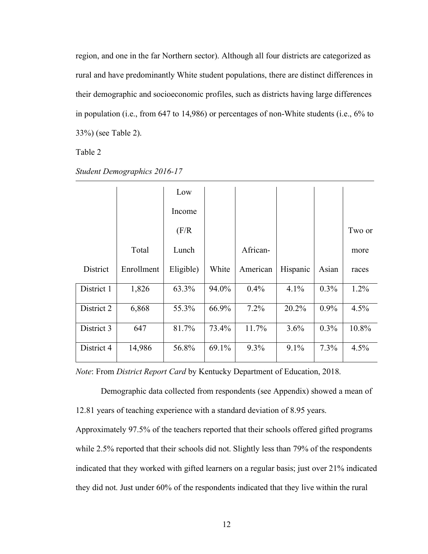region, and one in the far Northern sector). Although all four districts are categorized as rural and have predominantly White student populations, there are distinct differences in their demographic and socioeconomic profiles, such as districts having large differences in population (i.e., from 647 to 14,986) or percentages of non-White students (i.e., 6% to 33%) (see Table 2).

Table 2

|            |            | Low       |       |          |          |       |         |
|------------|------------|-----------|-------|----------|----------|-------|---------|
|            |            | Income    |       |          |          |       |         |
|            |            | (F/R)     |       |          |          |       | Two or  |
|            | Total      | Lunch     |       | African- |          |       | more    |
| District   | Enrollment | Eligible) | White | American | Hispanic | Asian | races   |
| District 1 | 1,826      | 63.3%     | 94.0% | 0.4%     | 4.1%     | 0.3%  | $1.2\%$ |
| District 2 | 6,868      | 55.3%     | 66.9% | 7.2%     | 20.2%    | 0.9%  | 4.5%    |
| District 3 | 647        | 81.7%     | 73.4% | 11.7%    | 3.6%     | 0.3%  | 10.8%   |
| District 4 | 14,986     | 56.8%     | 69.1% | 9.3%     | 9.1%     | 7.3%  | 4.5%    |

*Student Demographics 2016-17*

*Note*: From *District Report Card* by Kentucky Department of Education, 2018.

Demographic data collected from respondents (see Appendix) showed a mean of 12.81 years of teaching experience with a standard deviation of 8.95 years.

Approximately 97.5% of the teachers reported that their schools offered gifted programs while 2.5% reported that their schools did not. Slightly less than 79% of the respondents indicated that they worked with gifted learners on a regular basis; just over 21% indicated they did not. Just under 60% of the respondents indicated that they live within the rural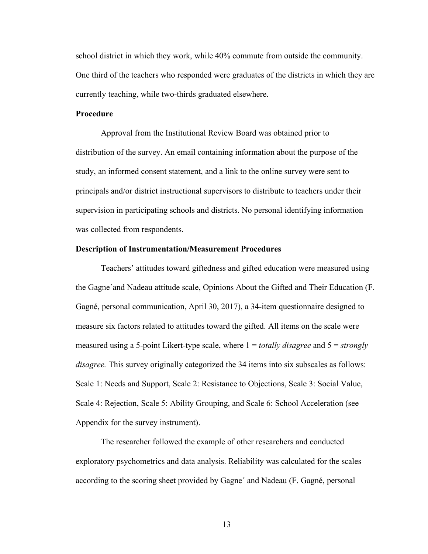school district in which they work, while 40% commute from outside the community. One third of the teachers who responded were graduates of the districts in which they are currently teaching, while two-thirds graduated elsewhere.

#### **Procedure**

Approval from the Institutional Review Board was obtained prior to distribution of the survey. An email containing information about the purpose of the study, an informed consent statement, and a link to the online survey were sent to principals and/or district instructional supervisors to distribute to teachers under their supervision in participating schools and districts. No personal identifying information was collected from respondents.

#### **Description of Instrumentation/Measurement Procedures**

Teachers' attitudes toward giftedness and gifted education were measured using the Gagne´and Nadeau attitude scale, Opinions About the Gifted and Their Education (F. Gagné, personal communication, April 30, 2017), a 34-item questionnaire designed to measure six factors related to attitudes toward the gifted. All items on the scale were measured using a 5-point Likert-type scale, where 1 = *totally disagree* and 5 = *strongly disagree.* This survey originally categorized the 34 items into six subscales as follows: Scale 1: Needs and Support, Scale 2: Resistance to Objections, Scale 3: Social Value, Scale 4: Rejection, Scale 5: Ability Grouping, and Scale 6: School Acceleration (see Appendix for the survey instrument).

The researcher followed the example of other researchers and conducted exploratory psychometrics and data analysis. Reliability was calculated for the scales according to the scoring sheet provided by Gagne´ and Nadeau (F. Gagné, personal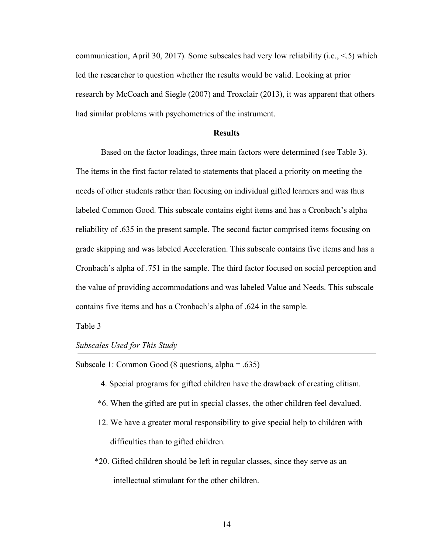communication, April 30, 2017). Some subscales had very low reliability (i.e.,  $\leq$  5) which led the researcher to question whether the results would be valid. Looking at prior research by McCoach and Siegle (2007) and Troxclair (2013), it was apparent that others had similar problems with psychometrics of the instrument.

#### **Results**

Based on the factor loadings, three main factors were determined (see Table 3). The items in the first factor related to statements that placed a priority on meeting the needs of other students rather than focusing on individual gifted learners and was thus labeled Common Good. This subscale contains eight items and has a Cronbach's alpha reliability of .635 in the present sample. The second factor comprised items focusing on grade skipping and was labeled Acceleration. This subscale contains five items and has a Cronbach's alpha of .751 in the sample. The third factor focused on social perception and the value of providing accommodations and was labeled Value and Needs. This subscale contains five items and has a Cronbach's alpha of .624 in the sample.

Table 3

*Subscales Used for This Study*

Subscale 1: Common Good (8 questions, alpha = .635)

- 4. Special programs for gifted children have the drawback of creating elitism.
- \*6. When the gifted are put in special classes, the other children feel devalued.
- 12. We have a greater moral responsibility to give special help to children with difficulties than to gifted children.
- \*20. Gifted children should be left in regular classes, since they serve as an intellectual stimulant for the other children.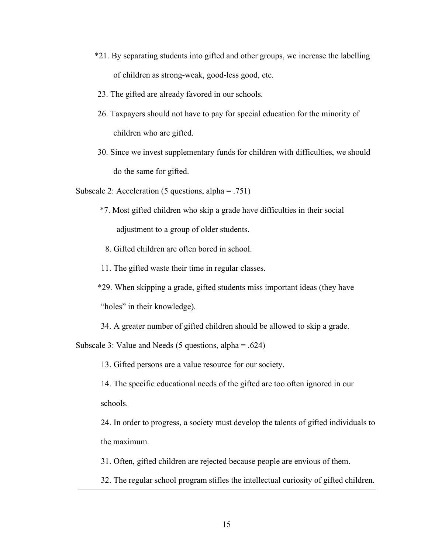- \*21. By separating students into gifted and other groups, we increase the labelling of children as strong-weak, good-less good, etc.
- 23. The gifted are already favored in our schools.
- 26. Taxpayers should not have to pay for special education for the minority of children who are gifted.
- 30. Since we invest supplementary funds for children with difficulties, we should do the same for gifted.

Subscale 2: Acceleration (5 questions, alpha = .751)

- \*7. Most gifted children who skip a grade have difficulties in their social adjustment to a group of older students.
	- 8. Gifted children are often bored in school.
- 11. The gifted waste their time in regular classes.
- \*29. When skipping a grade, gifted students miss important ideas (they have "holes" in their knowledge).
- 34. A greater number of gifted children should be allowed to skip a grade.

Subscale 3: Value and Needs (5 questions, alpha = .624)

13. Gifted persons are a value resource for our society.

14. The specific educational needs of the gifted are too often ignored in our schools.

24. In order to progress, a society must develop the talents of gifted individuals to the maximum.

31. Often, gifted children are rejected because people are envious of them.

32. The regular school program stifles the intellectual curiosity of gifted children.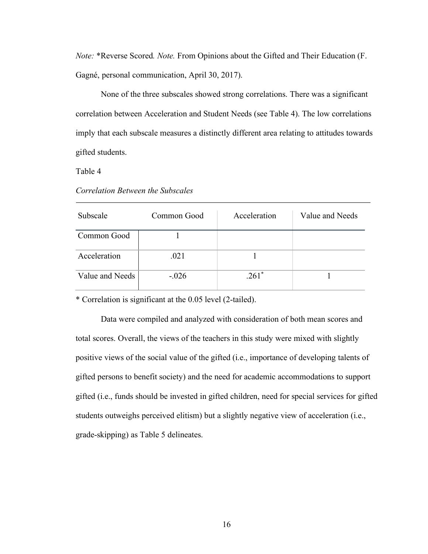*Note:* \*Reverse Scored*. Note.* From Opinions about the Gifted and Their Education (F. Gagné, personal communication, April 30, 2017).

None of the three subscales showed strong correlations. There was a significant correlation between Acceleration and Student Needs (see Table 4). The low correlations imply that each subscale measures a distinctly different area relating to attitudes towards gifted students.

Table 4

| Subscale        | Common Good | Acceleration | Value and Needs |
|-----------------|-------------|--------------|-----------------|
| Common Good     |             |              |                 |
| Acceleration    | .021        |              |                 |
| Value and Needs | $-.026$     | $261*$       |                 |

*Correlation Between the Subscales*

\* Correlation is significant at the 0.05 level (2-tailed).

Data were compiled and analyzed with consideration of both mean scores and total scores. Overall, the views of the teachers in this study were mixed with slightly positive views of the social value of the gifted (i.e., importance of developing talents of gifted persons to benefit society) and the need for academic accommodations to support gifted (i.e., funds should be invested in gifted children, need for special services for gifted students outweighs perceived elitism) but a slightly negative view of acceleration (i.e., grade-skipping) as Table 5 delineates.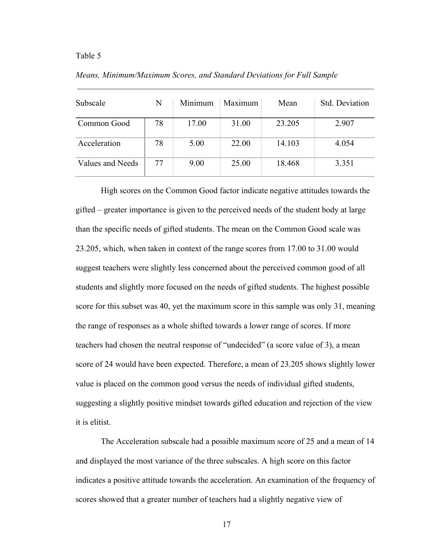#### Table 5

| Subscale         | N  | Minimum | Maximum | Mean   | Std. Deviation |
|------------------|----|---------|---------|--------|----------------|
| Common Good      | 78 | 17.00   | 31.00   | 23.205 | 2.907          |
| Acceleration     | 78 | 5.00    | 22.00   | 14.103 | 4.054          |
| Values and Needs | 77 | 9.00    | 25.00   | 18.468 | 3.351          |

*Means, Minimum/Maximum Scores, and Standard Deviations for Full Sample*

High scores on the Common Good factor indicate negative attitudes towards the gifted – greater importance is given to the perceived needs of the student body at large than the specific needs of gifted students. The mean on the Common Good scale was 23.205, which, when taken in context of the range scores from 17.00 to 31.00 would suggest teachers were slightly less concerned about the perceived common good of all students and slightly more focused on the needs of gifted students. The highest possible score for this subset was 40, yet the maximum score in this sample was only 31, meaning the range of responses as a whole shifted towards a lower range of scores. If more teachers had chosen the neutral response of "undecided" (a score value of 3), a mean score of 24 would have been expected. Therefore, a mean of 23.205 shows slightly lower value is placed on the common good versus the needs of individual gifted students, suggesting a slightly positive mindset towards gifted education and rejection of the view it is elitist.

The Acceleration subscale had a possible maximum score of 25 and a mean of 14 and displayed the most variance of the three subscales. A high score on this factor indicates a positive attitude towards the acceleration. An examination of the frequency of scores showed that a greater number of teachers had a slightly negative view of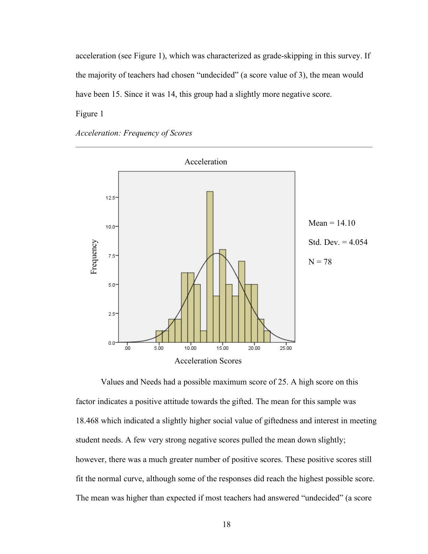acceleration (see Figure 1), which was characterized as grade-skipping in this survey. If the majority of teachers had chosen "undecided" (a score value of 3), the mean would have been 15. Since it was 14, this group had a slightly more negative score.

Figure 1

*Acceleration: Frequency of Scores*



Values and Needs had a possible maximum score of 25. A high score on this factor indicates a positive attitude towards the gifted. The mean for this sample was 18.468 which indicated a slightly higher social value of giftedness and interest in meeting student needs. A few very strong negative scores pulled the mean down slightly; however, there was a much greater number of positive scores. These positive scores still fit the normal curve, although some of the responses did reach the highest possible score. The mean was higher than expected if most teachers had answered "undecided" (a score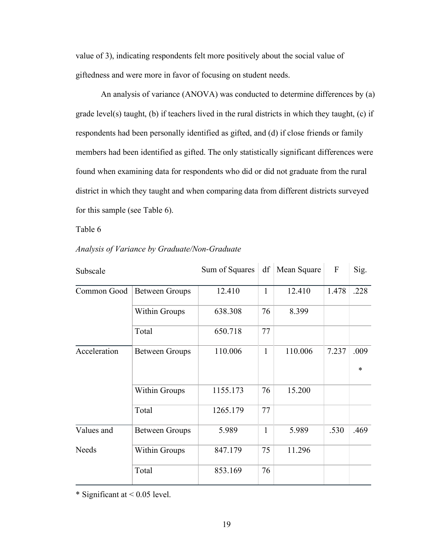value of 3), indicating respondents felt more positively about the social value of giftedness and were more in favor of focusing on student needs.

An analysis of variance (ANOVA) was conducted to determine differences by (a) grade level(s) taught, (b) if teachers lived in the rural districts in which they taught, (c) if respondents had been personally identified as gifted, and (d) if close friends or family members had been identified as gifted. The only statistically significant differences were found when examining data for respondents who did or did not graduate from the rural district in which they taught and when comparing data from different districts surveyed for this sample (see Table 6).

Table 6

| Subscale     |                       | Sum of Squares |              | df   Mean Square | F     | Sig.   |
|--------------|-----------------------|----------------|--------------|------------------|-------|--------|
| Common Good  | <b>Between Groups</b> | 12.410         | $\mathbf{1}$ | 12.410           | 1.478 | .228   |
|              | <b>Within Groups</b>  | 638.308        | 76           | 8.399            |       |        |
|              | Total                 | 650.718        | 77           |                  |       |        |
| Acceleration | <b>Between Groups</b> | 110.006        | $\mathbf{1}$ | 110.006          | 7.237 | .009   |
|              |                       |                |              |                  |       | $\ast$ |
|              | <b>Within Groups</b>  | 1155.173       | 76           | 15.200           |       |        |
|              | Total                 | 1265.179       | 77           |                  |       |        |
| Values and   | <b>Between Groups</b> | 5.989          | $\mathbf{1}$ | 5.989            | .530  | .469   |
| <b>Needs</b> | <b>Within Groups</b>  | 847.179        | 75           | 11.296           |       |        |
|              | Total                 | 853.169        | 76           |                  |       |        |

*Analysis of Variance by Graduate/Non-Graduate*

\* Significant at < 0.05 level.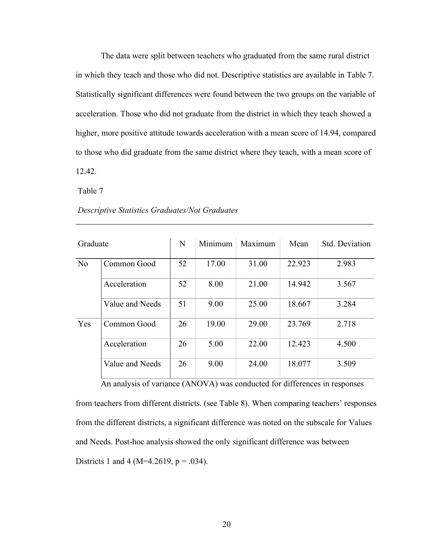The data were split between teachers who graduated from the same rural district in which they teach and those who did not. Descriptive statistics are available in Table 7. Statistically significant differences were found between the two groups on the variable of acceleration. Those who did not graduate from the district in which they teach showed a higher, more positive attitude towards acceleration with a mean score of 14.94, compared to those who did graduate from the same district where they teach, with a mean score of 12.42.

Table 7

| Graduate       |                 | N  | Minimum | Maximum | Mean   | Std. Deviation |
|----------------|-----------------|----|---------|---------|--------|----------------|
| N <sub>o</sub> | Common Good     | 52 | 17.00   | 31.00   | 22.923 | 2.983          |
|                | Acceleration    | 52 | 8.00    | 21.00   | 14.942 | 3.567          |
|                | Value and Needs | 51 | 9.00    | 25.00   | 18.667 | 3.284          |
| Yes            | Common Good     | 26 | 19.00   | 29.00   | 23.769 | 2.718          |
|                | Acceleration    | 26 | 5.00    | 22.00   | 12.423 | 4.500          |
|                | Value and Needs | 26 | 9.00    | 24.00   | 18.077 | 3.509          |

#### *Descriptive Statistics Graduates/Not Graduates*

An analysis of variance (ANOVA) was conducted for differences in responses from teachers from different districts. (see Table 8). When comparing teachers' responses from the different districts, a significant difference was noted on the subscale for Values and Needs. Post-hoc analysis showed the only significant difference was between Districts 1 and 4 (M=4.2619,  $p = .034$ ).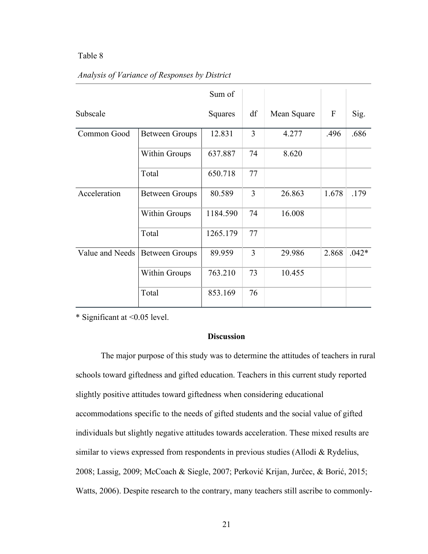#### Table 8

|                 |                       | Sum of   |                |             |             |         |
|-----------------|-----------------------|----------|----------------|-------------|-------------|---------|
| Subscale        |                       | Squares  | df             | Mean Square | $\mathbf F$ | Sig.    |
| Common Good     | <b>Between Groups</b> | 12.831   | $\overline{3}$ | 4.277       | .496        | .686    |
|                 | <b>Within Groups</b>  | 637.887  | 74             | 8.620       |             |         |
|                 | Total                 | 650.718  | 77             |             |             |         |
| Acceleration    | <b>Between Groups</b> | 80.589   | $\overline{3}$ | 26.863      | 1.678       | .179    |
|                 | <b>Within Groups</b>  | 1184.590 | 74             | 16.008      |             |         |
|                 | Total                 | 1265.179 | 77             |             |             |         |
| Value and Needs | <b>Between Groups</b> | 89.959   | $\overline{3}$ | 29.986      | 2.868       | $.042*$ |
|                 | <b>Within Groups</b>  | 763.210  | 73             | 10.455      |             |         |
|                 | Total                 | 853.169  | 76             |             |             |         |

#### *Analysis of Variance of Responses by District*

\* Significant at <0.05 level.

#### **Discussion**

The major purpose of this study was to determine the attitudes of teachers in rural schools toward giftedness and gifted education. Teachers in this current study reported slightly positive attitudes toward giftedness when considering educational accommodations specific to the needs of gifted students and the social value of gifted individuals but slightly negative attitudes towards acceleration. These mixed results are similar to views expressed from respondents in previous studies (Allodi & Rydelius, 2008; Lassig, 2009; McCoach & Siegle, 2007; Perković Krijan, Jurčec, & Borić, 2015; Watts, 2006). Despite research to the contrary, many teachers still ascribe to commonly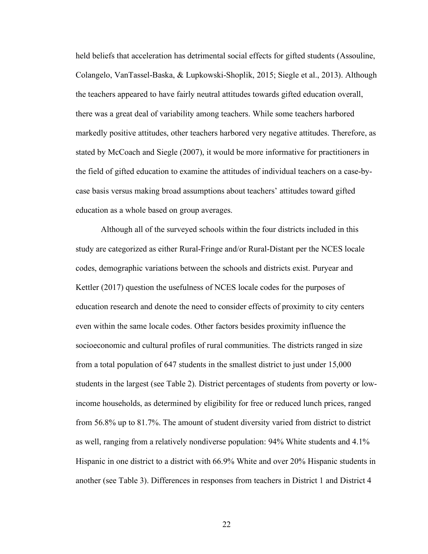held beliefs that acceleration has detrimental social effects for gifted students (Assouline, Colangelo, VanTassel-Baska, & Lupkowski-Shoplik, 2015; Siegle et al., 2013). Although the teachers appeared to have fairly neutral attitudes towards gifted education overall, there was a great deal of variability among teachers. While some teachers harbored markedly positive attitudes, other teachers harbored very negative attitudes. Therefore, as stated by McCoach and Siegle (2007), it would be more informative for practitioners in the field of gifted education to examine the attitudes of individual teachers on a case-bycase basis versus making broad assumptions about teachers' attitudes toward gifted education as a whole based on group averages.

Although all of the surveyed schools within the four districts included in this study are categorized as either Rural-Fringe and/or Rural-Distant per the NCES locale codes, demographic variations between the schools and districts exist. Puryear and Kettler (2017) question the usefulness of NCES locale codes for the purposes of education research and denote the need to consider effects of proximity to city centers even within the same locale codes. Other factors besides proximity influence the socioeconomic and cultural profiles of rural communities. The districts ranged in size from a total population of 647 students in the smallest district to just under 15,000 students in the largest (see Table 2). District percentages of students from poverty or lowincome households, as determined by eligibility for free or reduced lunch prices, ranged from 56.8% up to 81.7%. The amount of student diversity varied from district to district as well, ranging from a relatively nondiverse population: 94% White students and 4.1% Hispanic in one district to a district with 66.9% White and over 20% Hispanic students in another (see Table 3). Differences in responses from teachers in District 1 and District 4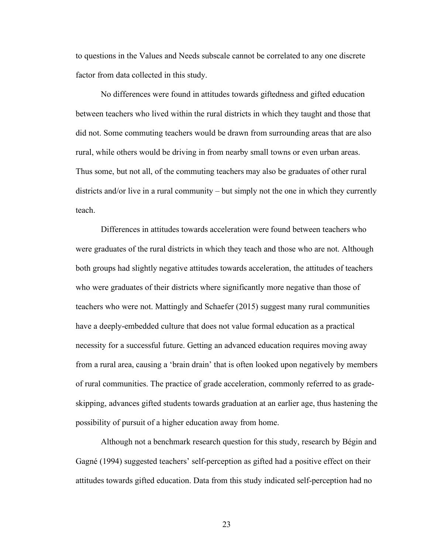to questions in the Values and Needs subscale cannot be correlated to any one discrete factor from data collected in this study.

No differences were found in attitudes towards giftedness and gifted education between teachers who lived within the rural districts in which they taught and those that did not. Some commuting teachers would be drawn from surrounding areas that are also rural, while others would be driving in from nearby small towns or even urban areas. Thus some, but not all, of the commuting teachers may also be graduates of other rural districts and/or live in a rural community – but simply not the one in which they currently teach.

Differences in attitudes towards acceleration were found between teachers who were graduates of the rural districts in which they teach and those who are not. Although both groups had slightly negative attitudes towards acceleration, the attitudes of teachers who were graduates of their districts where significantly more negative than those of teachers who were not. Mattingly and Schaefer (2015) suggest many rural communities have a deeply-embedded culture that does not value formal education as a practical necessity for a successful future. Getting an advanced education requires moving away from a rural area, causing a 'brain drain' that is often looked upon negatively by members of rural communities. The practice of grade acceleration, commonly referred to as gradeskipping, advances gifted students towards graduation at an earlier age, thus hastening the possibility of pursuit of a higher education away from home.

Although not a benchmark research question for this study, research by Bégin and Gagné (1994) suggested teachers' self-perception as gifted had a positive effect on their attitudes towards gifted education. Data from this study indicated self-perception had no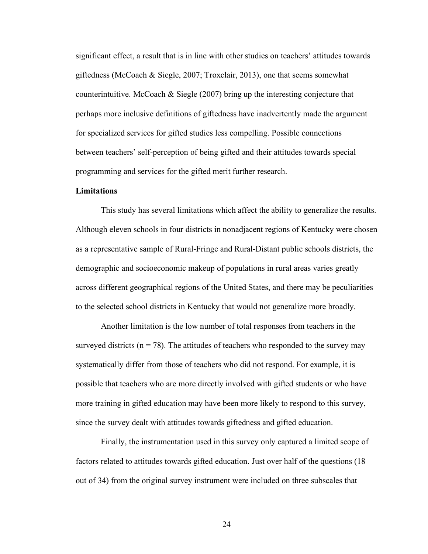significant effect, a result that is in line with other studies on teachers' attitudes towards giftedness (McCoach & Siegle, 2007; Troxclair, 2013), one that seems somewhat counterintuitive. McCoach  $\&$  Siegle (2007) bring up the interesting conjecture that perhaps more inclusive definitions of giftedness have inadvertently made the argument for specialized services for gifted studies less compelling. Possible connections between teachers' self-perception of being gifted and their attitudes towards special programming and services for the gifted merit further research.

#### **Limitations**

This study has several limitations which affect the ability to generalize the results. Although eleven schools in four districts in nonadjacent regions of Kentucky were chosen as a representative sample of Rural-Fringe and Rural-Distant public schools districts, the demographic and socioeconomic makeup of populations in rural areas varies greatly across different geographical regions of the United States, and there may be peculiarities to the selected school districts in Kentucky that would not generalize more broadly.

Another limitation is the low number of total responses from teachers in the surveyed districts ( $n = 78$ ). The attitudes of teachers who responded to the survey may systematically differ from those of teachers who did not respond. For example, it is possible that teachers who are more directly involved with gifted students or who have more training in gifted education may have been more likely to respond to this survey, since the survey dealt with attitudes towards giftedness and gifted education.

Finally, the instrumentation used in this survey only captured a limited scope of factors related to attitudes towards gifted education. Just over half of the questions (18 out of 34) from the original survey instrument were included on three subscales that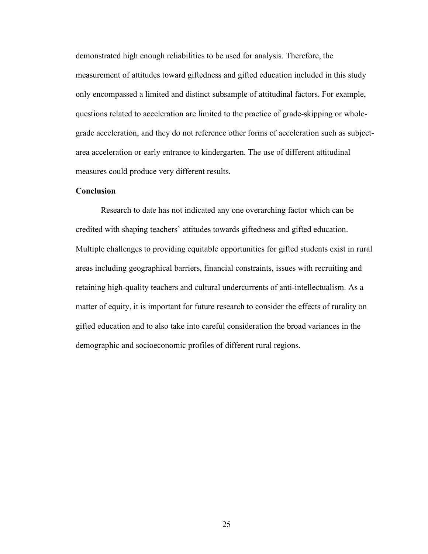demonstrated high enough reliabilities to be used for analysis. Therefore, the measurement of attitudes toward giftedness and gifted education included in this study only encompassed a limited and distinct subsample of attitudinal factors. For example, questions related to acceleration are limited to the practice of grade-skipping or wholegrade acceleration, and they do not reference other forms of acceleration such as subjectarea acceleration or early entrance to kindergarten. The use of different attitudinal measures could produce very different results.

#### **Conclusion**

Research to date has not indicated any one overarching factor which can be credited with shaping teachers' attitudes towards giftedness and gifted education. Multiple challenges to providing equitable opportunities for gifted students exist in rural areas including geographical barriers, financial constraints, issues with recruiting and retaining high-quality teachers and cultural undercurrents of anti-intellectualism. As a matter of equity, it is important for future research to consider the effects of rurality on gifted education and to also take into careful consideration the broad variances in the demographic and socioeconomic profiles of different rural regions.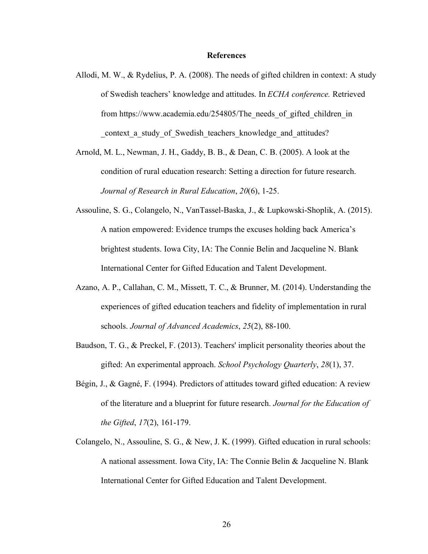#### **References**

- Allodi, M. W., & Rydelius, P. A. (2008). The needs of gifted children in context: A study of Swedish teachers' knowledge and attitudes. In *ECHA conference.* Retrieved from https://www.academia.edu/254805/The needs of gifted children in context a study of Swedish teachers knowledge and attitudes?
- Arnold, M. L., Newman, J. H., Gaddy, B. B., & Dean, C. B. (2005). A look at the condition of rural education research: Setting a direction for future research. *Journal of Research in Rural Education*, *20*(6), 1-25.
- Assouline, S. G., Colangelo, N., VanTassel-Baska, J., & Lupkowski-Shoplik, A. (2015). A nation empowered: Evidence trumps the excuses holding back America's brightest students. Iowa City, IA: The Connie Belin and Jacqueline N. Blank International Center for Gifted Education and Talent Development.
- Azano, A. P., Callahan, C. M., Missett, T. C., & Brunner, M. (2014). Understanding the experiences of gifted education teachers and fidelity of implementation in rural schools. *Journal of Advanced Academics*, *25*(2), 88-100.
- Baudson, T. G., & Preckel, F. (2013). Teachers' implicit personality theories about the gifted: An experimental approach. *School Psychology Quarterly*, *28*(1), 37.
- Bégin, J., & Gagné, F. (1994). Predictors of attitudes toward gifted education: A review of the literature and a blueprint for future research. *Journal for the Education of the Gifted*, *17*(2), 161-179.
- Colangelo, N., Assouline, S. G., & New, J. K. (1999). Gifted education in rural schools: A national assessment. Iowa City, IA: The Connie Belin & Jacqueline N. Blank International Center for Gifted Education and Talent Development.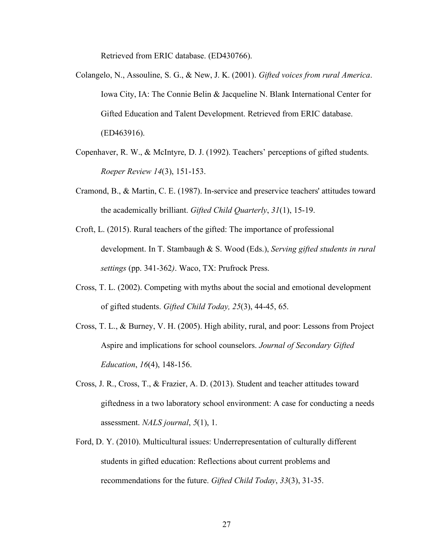Retrieved from ERIC database. (ED430766).

- Colangelo, N., Assouline, S. G., & New, J. K. (2001). *Gifted voices from rural America*. Iowa City, IA: The Connie Belin & Jacqueline N. Blank International Center for Gifted Education and Talent Development. Retrieved from ERIC database. (ED463916).
- Copenhaver, R. W., & McIntyre, D. J. (1992). Teachers' perceptions of gifted students. *Roeper Review 14*(3), 151-153.
- Cramond, B., & Martin, C. E. (1987). In-service and preservice teachers' attitudes toward the academically brilliant. *Gifted Child Quarterly*, *31*(1), 15-19.
- Croft, L. (2015). Rural teachers of the gifted: The importance of professional development. In T. Stambaugh & S. Wood (Eds.), *Serving gifted students in rural settings* (pp. 341-362*)*. Waco, TX: Prufrock Press.
- Cross, T. L. (2002). Competing with myths about the social and emotional development of gifted students. *Gifted Child Today, 25*(3), 44-45, 65.
- Cross, T. L., & Burney, V. H. (2005). High ability, rural, and poor: Lessons from Project Aspire and implications for school counselors. *Journal of Secondary Gifted Education*, *16*(4), 148-156.
- Cross, J. R., Cross, T., & Frazier, A. D. (2013). Student and teacher attitudes toward giftedness in a two laboratory school environment: A case for conducting a needs assessment. *NALS journal*, *5*(1), 1.
- Ford, D. Y. (2010). Multicultural issues: Underrepresentation of culturally different students in gifted education: Reflections about current problems and recommendations for the future. *Gifted Child Today*, *33*(3), 31-35.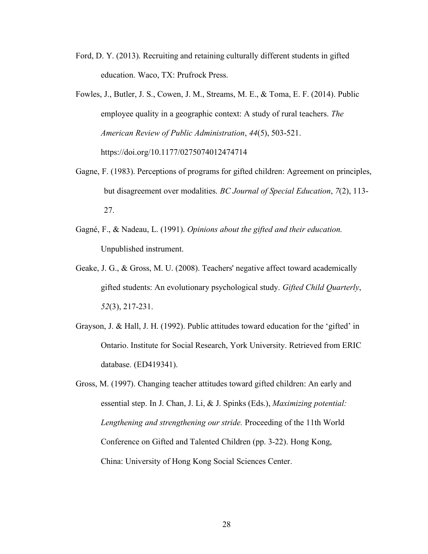- Ford, D. Y. (2013). Recruiting and retaining culturally different students in gifted education. Waco, TX: Prufrock Press.
- Fowles, J., Butler, J. S., Cowen, J. M., Streams, M. E., & Toma, E. F. (2014). Public employee quality in a geographic context: A study of rural teachers. *The American Review of Public Administration*, *44*(5), 503-521. https://doi.org/10.1177/0275074012474714
- Gagne, F. (1983). Perceptions of programs for gifted children: Agreement on principles, but disagreement over modalities. *BC Journal of Special Education*, *7*(2), 113- 27.
- Gagné, F., & Nadeau, L. (1991). *Opinions about the gifted and their education.* Unpublished instrument.
- Geake, J. G., & Gross, M. U. (2008). Teachers' negative affect toward academically gifted students: An evolutionary psychological study. *Gifted Child Quarterly*, *52*(3), 217-231.
- Grayson, J. & Hall, J. H. (1992). Public attitudes toward education for the 'gifted' in Ontario. Institute for Social Research, York University. Retrieved from ERIC database. (ED419341).
- Gross, M. (1997). Changing teacher attitudes toward gifted children: An early and essential step. In J. Chan, J. Li, & J. Spinks (Eds.), *Maximizing potential: Lengthening and strengthening our stride.* Proceeding of the 11th World Conference on Gifted and Talented Children (pp. 3-22). Hong Kong, China: University of Hong Kong Social Sciences Center.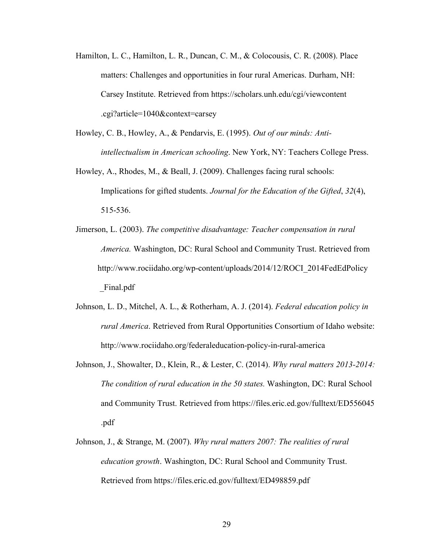- Hamilton, L. C., Hamilton, L. R., Duncan, C. M., & Colocousis, C. R. (2008). Place matters: Challenges and opportunities in four rural Americas. Durham, NH: Carsey Institute. Retrieved from https://scholars.unh.edu/cgi/viewcontent .cgi?article=1040&context=carsey
- Howley, C. B., Howley, A., & Pendarvis, E. (1995). *Out of our minds: Antiintellectualism in American schooling*. New York, NY: Teachers College Press.
- Howley, A., Rhodes, M., & Beall, J. (2009). Challenges facing rural schools: Implications for gifted students. *Journal for the Education of the Gifted*, *32*(4), 515-536.
- Jimerson, L. (2003). *The competitive disadvantage: Teacher compensation in rural America.* Washington, DC: Rural School and Community Trust. Retrieved from http://www.rociidaho.org/wp-content/uploads/2014/12/ROCI\_2014FedEdPolicy \_Final.pdf
- Johnson, L. D., Mitchel, A. L., & Rotherham, A. J. (2014). *Federal education policy in rural America*. Retrieved from Rural Opportunities Consortium of Idaho website: http://www.rociidaho.org/federaleducation-policy-in-rural-america
- Johnson, J., Showalter, D., Klein, R., & Lester, C. (2014). *Why rural matters 2013-2014: The condition of rural education in the 50 states.* Washington, DC: Rural School and Community Trust. Retrieved from https://files.eric.ed.gov/fulltext/ED556045 .pdf
- Johnson, J., & Strange, M. (2007). *Why rural matters 2007: The realities of rural education growth*. Washington, DC: Rural School and Community Trust. Retrieved from https://files.eric.ed.gov/fulltext/ED498859.pdf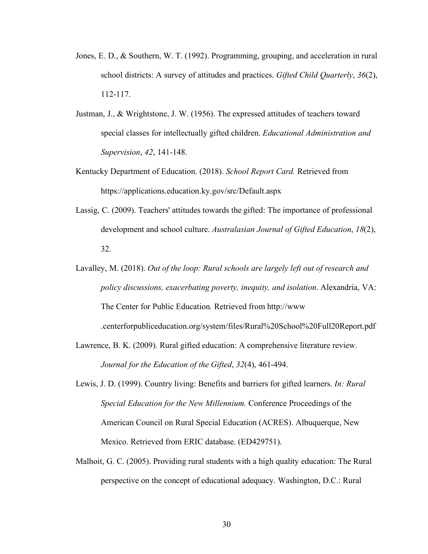- Jones, E. D., & Southern, W. T. (1992). Programming, grouping, and acceleration in rural school districts: A survey of attitudes and practices. *Gifted Child Quarterly*, *36*(2), 112-117.
- Justman, J., & Wrightstone, J. W. (1956). The expressed attitudes of teachers toward special classes for intellectually gifted children. *Educational Administration and Supervision*, *42*, 141-148.
- Kentucky Department of Education. (2018). *School Report Card.* Retrieved from https://applications.education.ky.gov/src/Default.aspx
- Lassig, C. (2009). Teachers' attitudes towards the gifted: The importance of professional development and school culture. *Australasian Journal of Gifted Education*, *18*(2), 32.
- Lavalley, M. (2018). *Out of the loop: Rural schools are largely left out of research and policy discussions, exacerbating poverty, inequity, and isolation*. Alexandria, VA: The Center for Public Education*.* Retrieved from http://www .centerforpubliceducation.org/system/files/Rural%20School%20Full20Report.pdf
- Lawrence, B. K. (2009). Rural gifted education: A comprehensive literature review. *Journal for the Education of the Gifted*, *32*(4), 461-494.
- Lewis, J. D. (1999). Country living: Benefits and barriers for gifted learners. *In: Rural Special Education for the New Millennium.* Conference Proceedings of the American Council on Rural Special Education (ACRES). Albuquerque, New Mexico. Retrieved from ERIC database. (ED429751).
- Malhoit, G. C. (2005). Providing rural students with a high quality education: The Rural perspective on the concept of educational adequacy. Washington, D.C.: Rural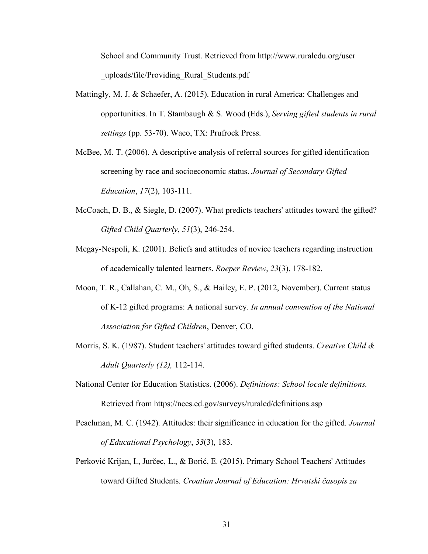School and Community Trust. Retrieved from http://www.ruraledu.org/user \_uploads/file/Providing\_Rural\_Students.pdf

- Mattingly, M. J. & Schaefer, A. (2015). Education in rural America: Challenges and opportunities. In T. Stambaugh & S. Wood (Eds.), *Serving gifted students in rural settings* (pp. 53-70). Waco, TX: Prufrock Press.
- McBee, M. T. (2006). A descriptive analysis of referral sources for gifted identification screening by race and socioeconomic status. *Journal of Secondary Gifted Education*, *17*(2), 103-111.
- McCoach, D. B., & Siegle, D. (2007). What predicts teachers' attitudes toward the gifted? *Gifted Child Quarterly*, *51*(3), 246-254.
- Megay-Nespoli, K. (2001). Beliefs and attitudes of novice teachers regarding instruction of academically talented learners. *Roeper Review*, *23*(3), 178-182.
- Moon, T. R., Callahan, C. M., Oh, S., & Hailey, E. P. (2012, November). Current status of K-12 gifted programs: A national survey. *In annual convention of the National Association for Gifted Children*, Denver, CO.
- Morris, S. K. (1987). Student teachers' attitudes toward gifted students. *Creative Child & Adult Quarterly (12),* 112-114.
- National Center for Education Statistics. (2006). *Definitions: School locale definitions.* Retrieved from https://nces.ed.gov/surveys/ruraled/definitions.asp
- Peachman, M. C. (1942). Attitudes: their significance in education for the gifted. *Journal of Educational Psychology*, *33*(3), 183.
- Perković Krijan, I., Jurčec, L., & Borić, E. (2015). Primary School Teachers' Attitudes toward Gifted Students. *Croatian Journal of Education: Hrvatski časopis za*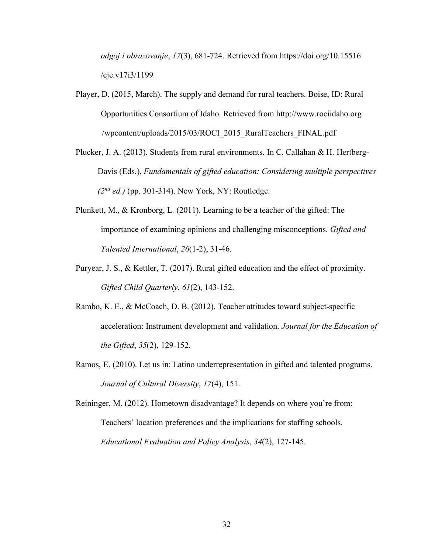*odgoj i obrazovanje*, *17*(3), 681-724. Retrieved from https://doi.org/10.15516 /cje.v17i3/1199

Player, D. (2015, March). The supply and demand for rural teachers. Boise, ID: Rural Opportunities Consortium of Idaho. Retrieved from http://www.rociidaho.org /wpcontent/uploads/2015/03/ROCI\_2015\_RuralTeachers\_FINAL.pdf

Plucker, J. A. (2013). Students from rural environments. In C. Callahan & H. Hertberg-Davis (Eds.), *Fundamentals of gifted education: Considering multiple perspectives (2nd ed.)* (pp. 301-314). New York, NY: Routledge.

- Plunkett, M., & Kronborg, L. (2011). Learning to be a teacher of the gifted: The importance of examining opinions and challenging misconceptions. *Gifted and Talented International*, *26*(1-2), 31-46.
- Puryear, J. S., & Kettler, T. (2017). Rural gifted education and the effect of proximity. *Gifted Child Quarterly*, *61*(2), 143-152.
- Rambo, K. E., & McCoach, D. B. (2012). Teacher attitudes toward subject-specific acceleration: Instrument development and validation. *Journal for the Education of the Gifted*, *35*(2), 129-152.
- Ramos, E. (2010). Let us in: Latino underrepresentation in gifted and talented programs. *Journal of Cultural Diversity*, *17*(4), 151.

Reininger, M. (2012). Hometown disadvantage? It depends on where you're from: Teachers' location preferences and the implications for staffing schools. *Educational Evaluation and Policy Analysis*, *34*(2), 127-145.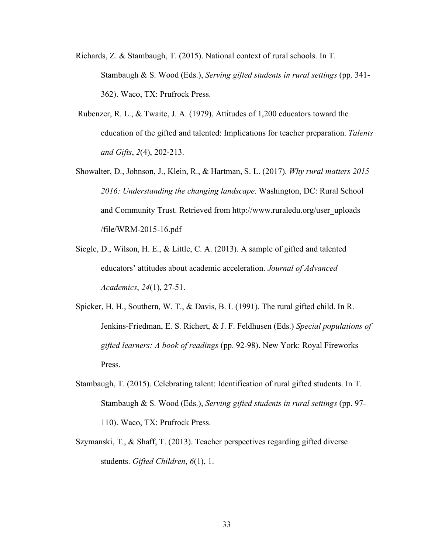- Richards, Z. & Stambaugh, T. (2015). National context of rural schools. In T. Stambaugh & S. Wood (Eds.), *Serving gifted students in rural settings* (pp. 341- 362). Waco, TX: Prufrock Press.
- Rubenzer, R. L., & Twaite, J. A. (1979). Attitudes of 1,200 educators toward the education of the gifted and talented: Implications for teacher preparation. *Talents and Gifts*, *2*(4), 202-213.
- Showalter, D., Johnson, J., Klein, R., & Hartman, S. L. (2017). *Why rural matters 2015 2016: Understanding the changing landscape*. Washington, DC: Rural School and Community Trust. Retrieved from http://www.ruraledu.org/user\_uploads /file/WRM-2015-16.pdf
- Siegle, D., Wilson, H. E., & Little, C. A. (2013). A sample of gifted and talented educators' attitudes about academic acceleration. *Journal of Advanced Academics*, *24*(1), 27-51.
- Spicker, H. H., Southern, W. T., & Davis, B. I. (1991). The rural gifted child. In R. Jenkins-Friedman, E. S. Richert, & J. F. Feldhusen (Eds.) *Special populations of gifted learners: A book of readings* (pp. 92-98). New York: Royal Fireworks Press.
- Stambaugh, T. (2015). Celebrating talent: Identification of rural gifted students. In T. Stambaugh & S. Wood (Eds.), *Serving gifted students in rural settings* (pp. 97- 110). Waco, TX: Prufrock Press.
- Szymanski, T., & Shaff, T. (2013). Teacher perspectives regarding gifted diverse students. *Gifted Children*, *6*(1), 1.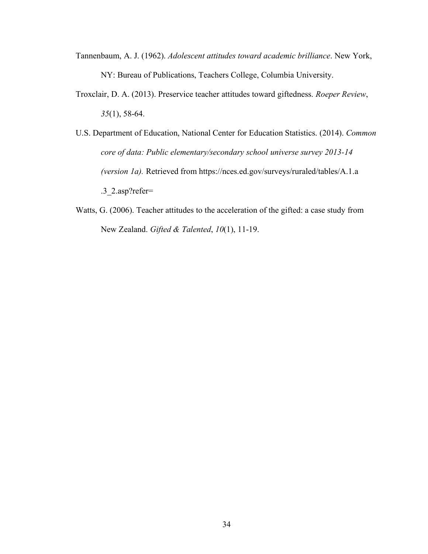- Tannenbaum, A. J. (1962). *Adolescent attitudes toward academic brilliance*. New York, NY: Bureau of Publications, Teachers College, Columbia University.
- Troxclair, D. A. (2013). Preservice teacher attitudes toward giftedness. *Roeper Review*, *35*(1), 58-64.
- U.S. Department of Education, National Center for Education Statistics. (2014). *Common core of data: Public elementary/secondary school universe survey 2013-14 (version 1a).* Retrieved from https://nces.ed.gov/surveys/ruraled/tables/A.1.a .3\_2.asp?refer=
- Watts, G. (2006). Teacher attitudes to the acceleration of the gifted: a case study from New Zealand. *Gifted & Talented*, *10*(1), 11-19.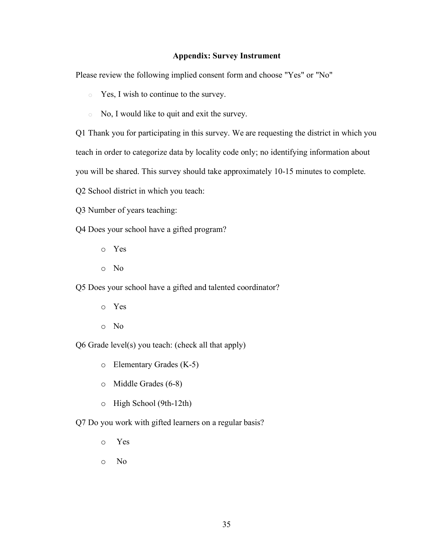#### **Appendix: Survey Instrument**

Please review the following implied consent form and choose "Yes" or "No"

o Yes, I wish to continue to the survey.

o No, I would like to quit and exit the survey.

Q1 Thank you for participating in this survey. We are requesting the district in which you teach in order to categorize data by locality code only; no identifying information about

you will be shared. This survey should take approximately 10-15 minutes to complete.

Q2 School district in which you teach:

Q3 Number of years teaching:

Q4 Does your school have a gifted program?

- o Yes
- o No

Q5 Does your school have a gifted and talented coordinator?

- o Yes
- o No

Q6 Grade level(s) you teach: (check all that apply)

o Elementary Grades (K-5)

- o Middle Grades (6-8)
- o High School (9th-12th)
- Q7 Do you work with gifted learners on a regular basis?
	- o Yes
	- o No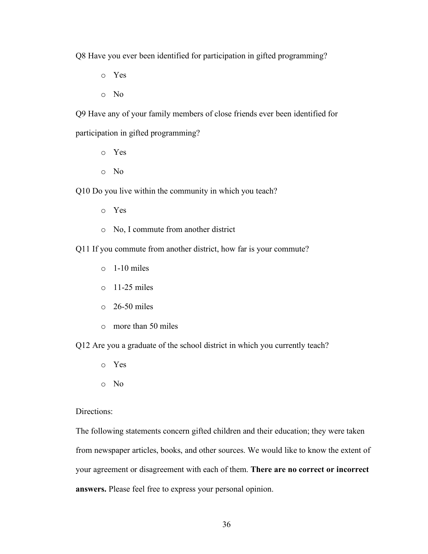Q8 Have you ever been identified for participation in gifted programming?

- o Yes
- o No

Q9 Have any of your family members of close friends ever been identified for participation in gifted programming?

- o Yes
- o No

Q10 Do you live within the community in which you teach?

- o Yes
- o No, I commute from another district
- Q11 If you commute from another district, how far is your commute?
	- $\circ$  1-10 miles
	- $\circ$  11-25 miles
	- $\circ$  26-50 miles
	- o more than 50 miles

Q12 Are you a graduate of the school district in which you currently teach?

- o Yes
- o No

#### Directions:

The following statements concern gifted children and their education; they were taken from newspaper articles, books, and other sources. We would like to know the extent of your agreement or disagreement with each of them. **There are no correct or incorrect answers.** Please feel free to express your personal opinion.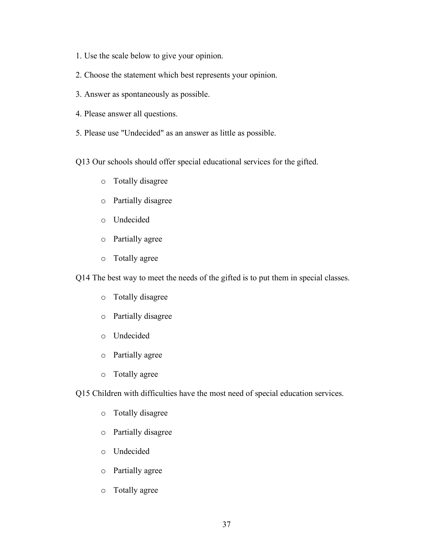- 1. Use the scale below to give your opinion.
- 2. Choose the statement which best represents your opinion.
- 3. Answer as spontaneously as possible.
- 4. Please answer all questions.
- 5. Please use "Undecided" as an answer as little as possible.

Q13 Our schools should offer special educational services for the gifted.

- o Totally disagree
- o Partially disagree
- o Undecided
- o Partially agree
- o Totally agree

Q14 The best way to meet the needs of the gifted is to put them in special classes.

- o Totally disagree
- o Partially disagree
- o Undecided
- o Partially agree
- o Totally agree

Q15 Children with difficulties have the most need of special education services.

- o Totally disagree
- o Partially disagree
- o Undecided
- o Partially agree
- o Totally agree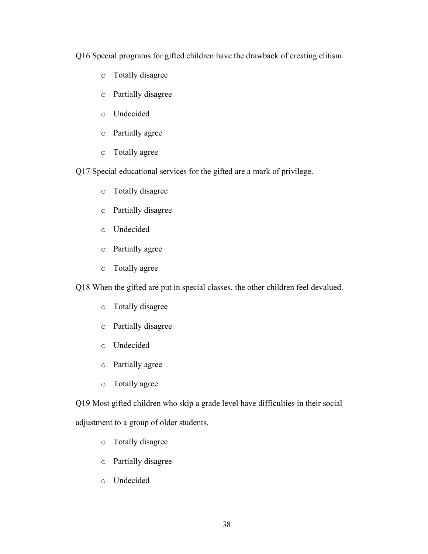Q16 Special programs for gifted children have the drawback of creating elitism.

- o Totally disagree
- o Partially disagree
- o Undecided
- o Partially agree
- o Totally agree

Q17 Special educational services for the gifted are a mark of privilege.

- o Totally disagree
- o Partially disagree
- o Undecided
- o Partially agree
- o Totally agree

Q18 When the gifted are put in special classes, the other children feel devalued.

- o Totally disagree
- o Partially disagree
- o Undecided
- o Partially agree
- o Totally agree

Q19 Most gifted children who skip a grade level have difficulties in their social adjustment to a group of older students.

- o Totally disagree
- o Partially disagree
- o Undecided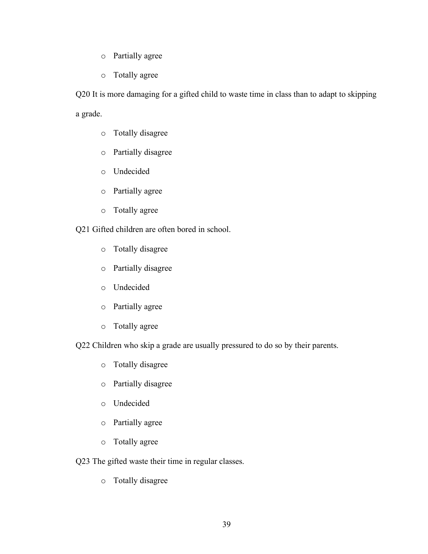- o Partially agree
- o Totally agree

Q20 It is more damaging for a gifted child to waste time in class than to adapt to skipping a grade.

- o Totally disagree
- o Partially disagree
- o Undecided
- o Partially agree
- o Totally agree

Q21 Gifted children are often bored in school.

- o Totally disagree
- o Partially disagree
- o Undecided
- o Partially agree
- o Totally agree

Q22 Children who skip a grade are usually pressured to do so by their parents.

- o Totally disagree
- o Partially disagree
- o Undecided
- o Partially agree
- o Totally agree

Q23 The gifted waste their time in regular classes.

o Totally disagree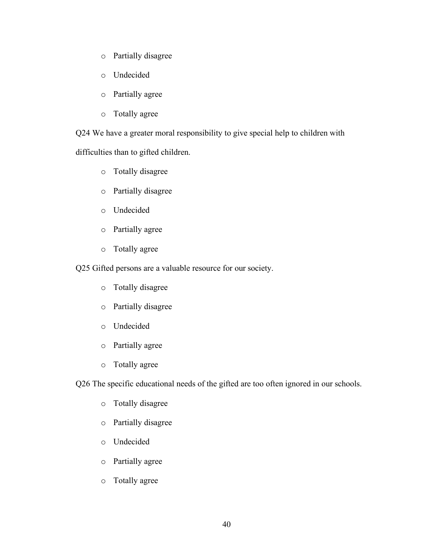- o Partially disagree
- o Undecided
- o Partially agree
- o Totally agree

Q24 We have a greater moral responsibility to give special help to children with

difficulties than to gifted children.

- o Totally disagree
- o Partially disagree
- o Undecided
- o Partially agree
- o Totally agree

Q25 Gifted persons are a valuable resource for our society.

- o Totally disagree
- o Partially disagree
- o Undecided
- o Partially agree
- o Totally agree

Q26 The specific educational needs of the gifted are too often ignored in our schools.

- o Totally disagree
- o Partially disagree
- o Undecided
- o Partially agree
- o Totally agree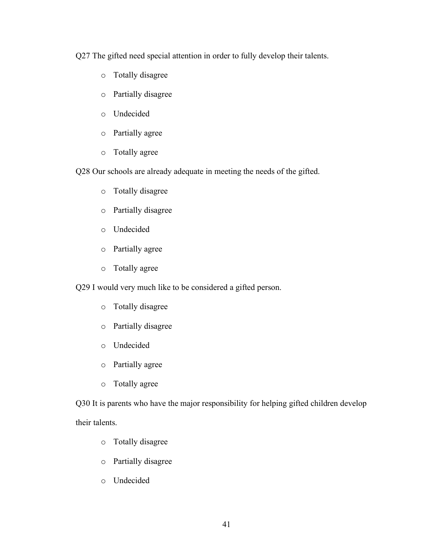Q27 The gifted need special attention in order to fully develop their talents.

- o Totally disagree
- o Partially disagree
- o Undecided
- o Partially agree
- o Totally agree

Q28 Our schools are already adequate in meeting the needs of the gifted.

- o Totally disagree
- o Partially disagree
- o Undecided
- o Partially agree
- o Totally agree

Q29 I would very much like to be considered a gifted person.

- o Totally disagree
- o Partially disagree
- o Undecided
- o Partially agree
- o Totally agree

Q30 It is parents who have the major responsibility for helping gifted children develop their talents.

- o Totally disagree
- o Partially disagree
- o Undecided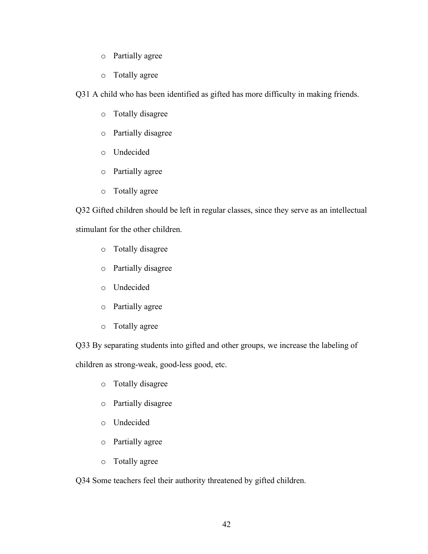- o Partially agree
- o Totally agree

Q31 A child who has been identified as gifted has more difficulty in making friends.

- o Totally disagree
- o Partially disagree
- o Undecided
- o Partially agree
- o Totally agree

Q32 Gifted children should be left in regular classes, since they serve as an intellectual stimulant for the other children.

- o Totally disagree
- o Partially disagree
- o Undecided
- o Partially agree
- o Totally agree

Q33 By separating students into gifted and other groups, we increase the labeling of

children as strong-weak, good-less good, etc.

- o Totally disagree
- o Partially disagree
- o Undecided
- o Partially agree
- o Totally agree

Q34 Some teachers feel their authority threatened by gifted children.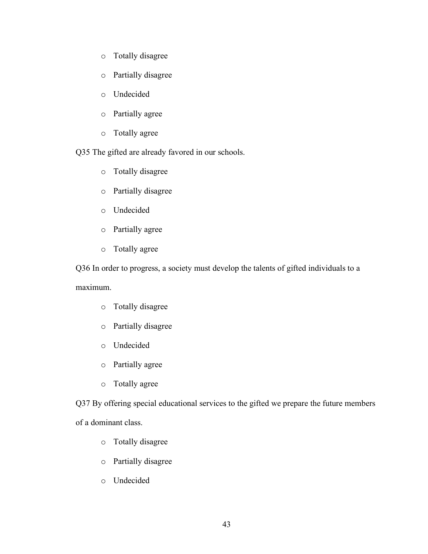- o Totally disagree
- o Partially disagree
- o Undecided
- o Partially agree
- o Totally agree

Q35 The gifted are already favored in our schools.

- o Totally disagree
- o Partially disagree
- o Undecided
- o Partially agree
- o Totally agree

Q36 In order to progress, a society must develop the talents of gifted individuals to a

maximum.

- o Totally disagree
- o Partially disagree
- o Undecided
- o Partially agree
- o Totally agree

Q37 By offering special educational services to the gifted we prepare the future members of a dominant class.

- o Totally disagree
- o Partially disagree
- o Undecided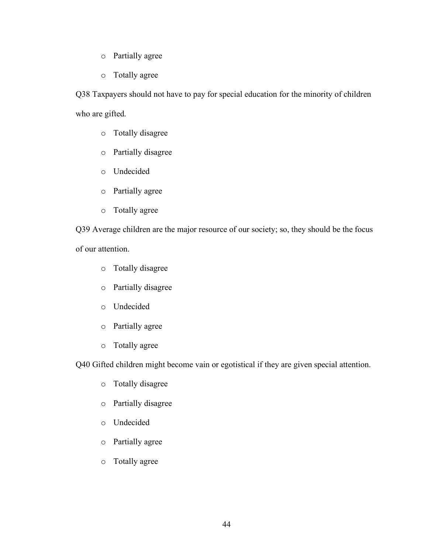- o Partially agree
- o Totally agree

Q38 Taxpayers should not have to pay for special education for the minority of children who are gifted.

- o Totally disagree
- o Partially disagree
- o Undecided
- o Partially agree
- o Totally agree

Q39 Average children are the major resource of our society; so, they should be the focus of our attention.

- o Totally disagree
- o Partially disagree
- o Undecided
- o Partially agree
- o Totally agree

Q40 Gifted children might become vain or egotistical if they are given special attention.

- o Totally disagree
- o Partially disagree
- o Undecided
- o Partially agree
- o Totally agree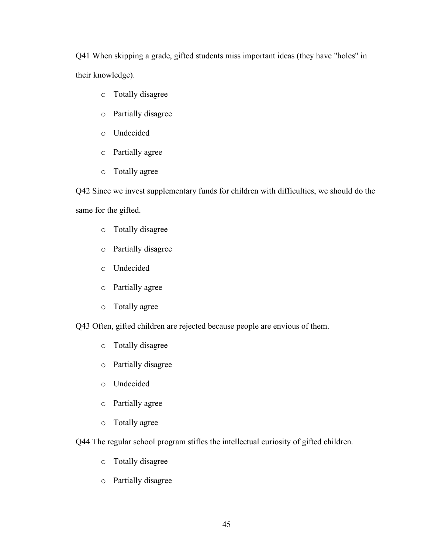Q41 When skipping a grade, gifted students miss important ideas (they have "holes" in their knowledge).

- o Totally disagree
- o Partially disagree
- o Undecided
- o Partially agree
- o Totally agree

Q42 Since we invest supplementary funds for children with difficulties, we should do the same for the gifted.

- o Totally disagree
- o Partially disagree
- o Undecided
- o Partially agree
- o Totally agree

Q43 Often, gifted children are rejected because people are envious of them.

- o Totally disagree
- o Partially disagree
- o Undecided
- o Partially agree
- o Totally agree

Q44 The regular school program stifles the intellectual curiosity of gifted children.

- o Totally disagree
- o Partially disagree